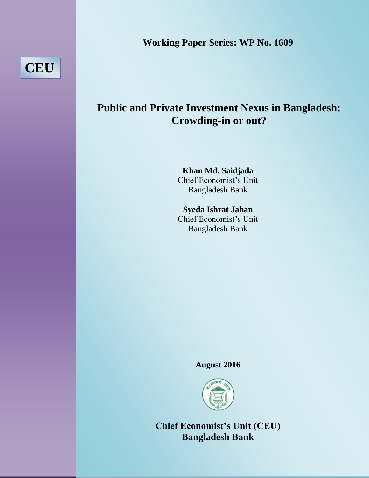**Working Paper Series: WP No. 1609**

**CEU**

# **Public and Private Investment Nexus in Bangladesh: Crowding-in or out?**

**Khan Md. Saidjada** Chief Economist's Unit Bangladesh Bank

**Syeda Ishrat Jahan** Chief Economist's Unit Bangladesh Bank

# **August 2016**



**Chief Economist's Unit (CEU) Bangladesh Bank**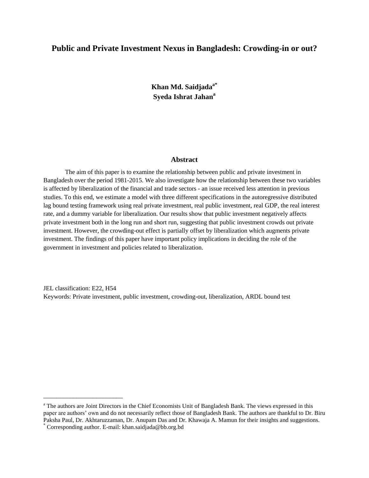## **Public and Private Investment Nexus in Bangladesh: Crowding-in or out?**

**Khan Md. Saidjadaa\* Syeda Ishrat Jahan<sup>a</sup>**

#### **Abstract**

The aim of this paper is to examine the relationship between public and private investment in Bangladesh over the period 1981-2015. We also investigate how the relationship between these two variables is affected by liberalization of the financial and trade sectors - an issue received less attention in previous studies. To this end, we estimate a model with three different specifications in the autoregressive distributed lag bound testing framework using real private investment, real public investment, real GDP, the real interest rate, and a dummy variable for liberalization. Our results show that public investment negatively affects private investment both in the long run and short run, suggesting that public investment crowds out private investment. However, the crowding-out effect is partially offset by liberalization which augments private investment. The findings of this paper have important policy implications in deciding the role of the government in investment and policies related to liberalization.

JEL classification: E22, H54 Keywords: Private investment, public investment, crowding-out, liberalization, ARDL bound test

\_\_\_\_\_\_\_\_\_\_\_\_\_\_\_\_\_\_\_\_\_\_\_\_

<sup>a</sup> The authors are Joint Directors in the Chief Economists Unit of Bangladesh Bank. The views expressed in this paper are authors' own and do not necessarily reflect those of Bangladesh Bank. The authors are thankful to Dr. Biru Paksha Paul, Dr. Akhtaruzzaman, Dr. Anupam Das and Dr. Khawaja A. Mamun for their insights and suggestions.

<sup>\*</sup> Corresponding author. E-mail: [khan.saidjada@bb.org.bd](mailto:khan.saidjada@bb.org.bd)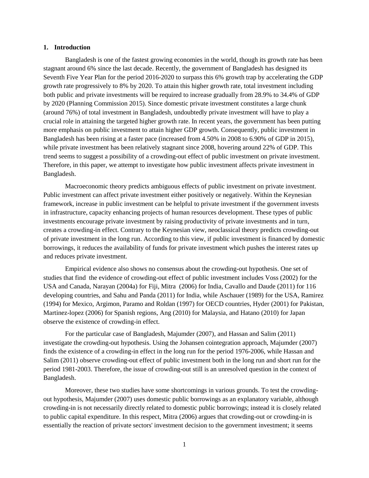#### **1. Introduction**

Bangladesh is one of the fastest growing economies in the world, though its growth rate has been stagnant around 6% since the last decade. Recently, the government of Bangladesh has designed its Seventh Five Year Plan for the period 2016-2020 to surpass this 6% growth trap by accelerating the GDP growth rate progressively to 8% by 2020. To attain this higher growth rate, total investment including both public and private investments will be required to increase gradually from 28.9% to 34.4% of GDP by 2020 (Planning Commission 2015). Since domestic private investment constitutes a large chunk (around 76%) of total investment in Bangladesh, undoubtedly private investment will have to play a crucial role in attaining the targeted higher growth rate. In recent years, the government has been putting more emphasis on public investment to attain higher GDP growth. Consequently, public investment in Bangladesh has been rising at a faster pace (increased from 4.50% in 2008 to 6.90% of GDP in 2015), while private investment has been relatively stagnant since 2008, hovering around 22% of GDP. This trend seems to suggest a possibility of a crowding-out effect of public investment on private investment. Therefore, in this paper, we attempt to investigate how public investment affects private investment in Bangladesh.

Macroeconomic theory predicts ambiguous effects of public investment on private investment. Public investment can affect private investment either positively or negatively. Within the Keynesian framework, increase in public investment can be helpful to private investment if the government invests in infrastructure, capacity enhancing projects of human resources development. These types of public investments encourage private investment by raising productivity of private investments and in turn, creates a crowding-in effect. Contrary to the Keynesian view, neoclassical theory predicts crowding-out of private investment in the long run. According to this view, if public investment is financed by domestic borrowings, it reduces the availability of funds for private investment which pushes the interest rates up and reduces private investment.

Empirical evidence also shows no consensus about the crowding-out hypothesis. One set of studies that find the evidence of crowding-out effect of public investment includes Voss (2002) for the USA and Canada, Narayan (2004a) for Fiji, Mitra (2006) for India, Cavallo and Daude (2011) for 116 developing countries, and Sahu and Panda (2011) for India, while Aschauer (1989) for the USA, Ramirez (1994) for Mexico, Argimon, Paramo and Roldan (1997) for OECD countries, Hyder (2001) for Pakistan, Martinez-lopez (2006) for Spanish regions, Ang (2010) for Malaysia, and Hatano (2010) for Japan observe the existence of crowding-in effect.

For the particular case of Bangladesh, Majumder (2007), and Hassan and Salim (2011) investigate the crowding-out hypothesis. Using the Johansen cointegration approach, Majumder (2007) finds the existence of a crowding-in effect in the long run for the period 1976-2006, while Hassan and Salim (2011) observe crowding-out effect of public investment both in the long run and short run for the period 1981-2003. Therefore, the issue of crowding-out still is an unresolved question in the context of Bangladesh.

Moreover, these two studies have some shortcomings in various grounds. To test the crowdingout hypothesis, Majumder (2007) uses domestic public borrowings as an explanatory variable, although crowding-in is not necessarily directly related to domestic public borrowings; instead it is closely related to public capital expenditure. In this respect, Mitra (2006) argues that crowding-out or crowding-in is essentially the reaction of private sectors' investment decision to the government investment; it seems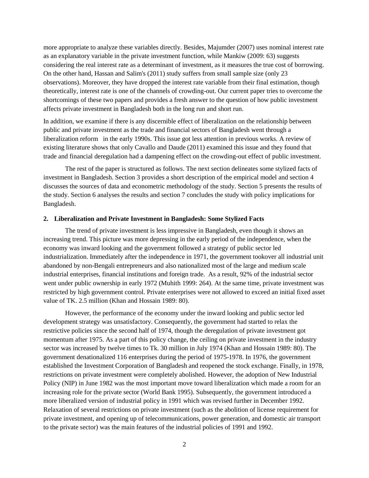more appropriate to analyze these variables directly. Besides, Majumder (2007) uses nominal interest rate as an explanatory variable in the private investment function, while Mankiw (2009: 63) suggests considering the real interest rate as a determinant of investment, as it measures the true cost of borrowing. On the other hand, Hassan and Salim's (2011) study suffers from small sample size (only 23 observations). Moreover, they have dropped the interest rate variable from their final estimation, though theoretically, interest rate is one of the channels of crowding-out. Our current paper tries to overcome the shortcomings of these two papers and provides a fresh answer to the question of how public investment affects private investment in Bangladesh both in the long run and short run.

In addition, we examine if there is any discernible effect of liberalization on the relationship between public and private investment as the trade and financial sectors of Bangladesh went through a liberalization reform in the early 1990s. This issue got less attention in previous works. A review of existing literature shows that only Cavallo and Daude (2011) examined this issue and they found that trade and financial deregulation had a dampening effect on the crowding-out effect of public investment.

The rest of the paper is structured as follows. The next section delineates some stylized facts of investment in Bangladesh. Section 3 provides a short description of the empirical model and section 4 discusses the sources of data and econometric methodology of the study. Section 5 presents the results of the study. Section 6 analyses the results and section 7 concludes the study with policy implications for Bangladesh.

#### **2. Liberalization and Private Investment in Bangladesh: Some Stylized Facts**

The trend of private investment is less impressive in Bangladesh, even though it shows an increasing trend. This picture was more depressing in the early period of the independence, when the economy was inward looking and the government followed a strategy of public sector led industrialization. Immediately after the independence in 1971, the government tookover all industrial unit abandoned by non-Bengali entrepreneurs and also nationalized most of the large and medium scale industrial enterprises, financial institutions and foreign trade. As a result, 92% of the industrial sector went under public ownership in early 1972 (Muhith 1999: 264). At the same time, private investment was restricted by high government control. Private enterprises were not allowed to exceed an initial fixed asset value of TK. 2.5 million (Khan and Hossain 1989: 80).

However, the performance of the economy under the inward looking and public sector led development strategy was unsatisfactory. Consequently, the government had started to relax the restrictive policies since the second half of 1974, though the deregulation of private investment got momentum after 1975. As a part of this policy change, the ceiling on private investment in the industry sector was increased by twelve times to Tk. 30 million in July 1974 (Khan and Hossain 1989: 80). The government denationalized 116 enterprises during the period of 1975-1978. In 1976, the government established the Investment Corporation of Bangladesh and reopened the stock exchange. Finally, in 1978, restrictions on private investment were completely abolished. However, the adoption of New Industrial Policy (NIP) in June 1982 was the most important move toward liberalization which made a room for an increasing role for the private sector (World Bank 1995). Subsequently, the government introduced a more liberalized version of industrial policy in 1991 which was revised further in December 1992. Relaxation of several restrictions on private investment (such as the abolition of license requirement for private investment, and opening up of telecommunications, power generation, and domestic air transport to the private sector) was the main features of the industrial policies of 1991 and 1992.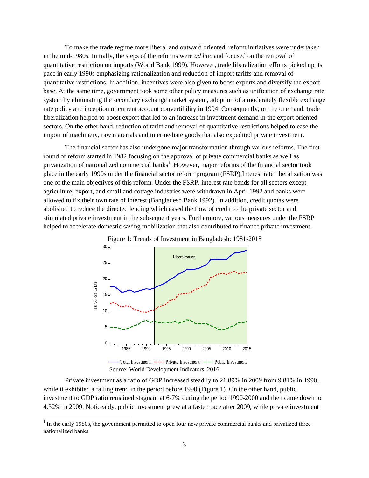To make the trade regime more liberal and outward oriented, reform initiatives were undertaken in the mid-1980s. Initially, the steps of the reforms were *ad hoc* and focused on the removal of quantitative restriction on imports (World Bank 1999). However, trade liberalization efforts picked up its pace in early 1990s emphasizing rationalization and reduction of import tariffs and removal of quantitative restrictions. In addition, incentives were also given to boost exports and diversify the export base. At the same time, government took some other policy measures such as unification of exchange rate system by eliminating the secondary exchange market system, adoption of a moderately flexible exchange rate policy and inception of current account convertibility in 1994. Consequently, on the one hand, trade liberalization helped to boost export that led to an increase in investment demand in the export oriented sectors. On the other hand, reduction of tariff and removal of quantitative restrictions helped to ease the import of machinery, raw materials and intermediate goods that also expedited private investment.

The financial sector has also undergone major transformation through various reforms. The first round of reform started in 1982 focusing on the approval of private commercial banks as well as privatization of nationalized commercial banks<sup>1</sup>. However, major reforms of the financial sector took place in the early 1990s under the financial sector reform program (FSRP).Interest rate liberalization was one of the main objectives of this reform. Under the FSRP, interest rate bands for all sectors except agriculture, export, and small and cottage industries were withdrawn in April 1992 and banks were allowed to fix their own rate of interest (Bangladesh Bank 1992). In addition, credit quotas were abolished to reduce the directed lending which eased the flow of credit to the private sector and stimulated private investment in the subsequent years. Furthermore, various measures under the FSRP helped to accelerate domestic saving mobilization that also contributed to finance private investment.



Private investment as a ratio of GDP increased steadily to 21.89% in 2009 from 9.81% in 1990, while it exhibited a falling trend in the period before 1990 (Figure 1). On the other hand, public investment to GDP ratio remained stagnant at 6-7% during the period 1990-2000 and then came down to 4.32% in 2009. Noticeably, public investment grew at a faster pace after 2009, while private investment

<sup>&</sup>lt;sup>1</sup> In the early 1980s, the government permitted to open four new private commercial banks and privatized three nationalized banks.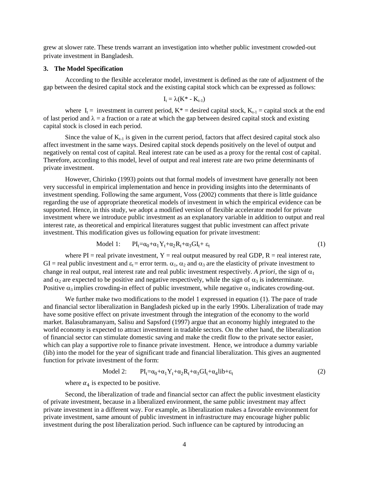grew at slower rate. These trends warrant an investigation into whether public investment crowded-out private investment in Bangladesh.

#### **3. The Model Specification**

According to the flexible accelerator model, investment is defined as the rate of adjustment of the gap between the desired capital stock and the existing capital stock which can be expressed as follows:

$$
I_t = \lambda(K^* - K_{t-1})
$$

where  $I_t$  = investment in current period,  $K^*$  = desired capital stock,  $K_{t-1}$  = capital stock at the end of last period and  $\lambda = a$  fraction or a rate at which the gap between desired capital stock and existing capital stock is closed in each period.

Since the value of  $K_{t-1}$  is given in the current period, factors that affect desired capital stock also affect investment in the same ways. Desired capital stock depends positively on the level of output and negatively on rental cost of capital. Real interest rate can be used as a proxy for the rental cost of capital. Therefore, according to this model, level of output and real interest rate are two prime determinants of private investment.

However, Chirinko (1993) points out that formal models of investment have generally not been very successful in empirical implementation and hence in providing insights into the determinants of investment spending. Following the same argument, Voss (2002) comments that there is little guidance regarding the use of appropriate theoretical models of investment in which the empirical evidence can be supported. Hence, in this study, we adopt a modified version of flexible accelerator model for private investment where we introduce public investment as an explanatory variable in addition to output and real interest rate, as theoretical and empirical literatures suggest that public investment can affect private investment. This modification gives us following equation for private investment:

$$
\text{Model 1:} \qquad \text{PI}_{t} = \alpha_{0} + \alpha_{1} Y_{t} + \alpha_{2} R_{t} + \alpha_{3} G I_{t} + \varepsilon_{t} \tag{1}
$$

where  $PI = real$  private investment,  $Y = real$  output measured by real GDP,  $R = real$  interest rate, GI = real public investment and  $\varepsilon_t$  = error term.  $\alpha_1$ ,  $\alpha_2$  and  $\alpha_3$  are the elasticity of private investment to change in real output, real interest rate and real public investment respectively. A *priori*, the sign of  $\alpha_1$ and  $\alpha_2$  are expected to be positive and negative respectively, while the sign of  $\alpha_3$  is indeterminate. Positive  $\alpha_3$  implies crowding-in effect of public investment, while negative  $\alpha_3$  indicates crowding-out.

We further make two modifications to the model 1 expressed in equation (1). The pace of trade and financial sector liberalization in Bangladesh picked up in the early 1990s. Liberalization of trade may have some positive effect on private investment through the integration of the economy to the world market. Balasubramanyam, Salisu and Sapsford (1997) argue that an economy highly integrated to the world economy is expected to attract investment in tradable sectors. On the other hand, the liberalization of financial sector can stimulate domestic saving and make the credit flow to the private sector easier, which can play a supportive role to finance private investment. Hence, we introduce a dummy variable (lib) into the model for the year of significant trade and financial liberalization. This gives an augmented function for private investment of the form:

$$
Model 2: \qquad PI_t = \alpha_0 + \alpha_1 Y_t + \alpha_2 R_t + \alpha_3 GI_t + \alpha_4 lib + \varepsilon_t \tag{2}
$$

where  $\alpha_4$  is expected to be positive.

Second, the liberalization of trade and financial sector can affect the public investment elasticity of private investment, because in a liberalized environment, the same public investment may affect private investment in a different way. For example, as liberalization makes a favorable environment for private investment, same amount of public investment in infrastructure may encourage higher public investment during the post liberalization period. Such influence can be captured by introducing an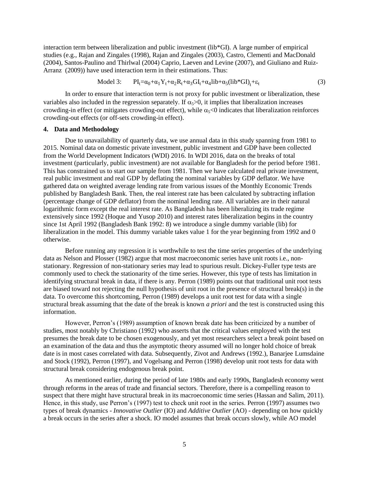interaction term between liberalization and public investment (lib\*GI). A large number of empirical studies (e.g., Rajan and Zingales (1998), Rajan and Zingales (2003), Castro, Clementi and MacDonald (2004), Santos-Paulino and Thirlwal (2004) Caprio, Laeven and Levine (2007), and Giuliano and Ruiz-Arranz (2009)) have used interaction term in their estimations. Thus:

$$
\text{Model 3:} \qquad \text{PI}_{t} = \alpha_{0} + \alpha_{1} Y_{t} + \alpha_{2} R_{t} + \alpha_{3} G I_{t} + \alpha_{4} \text{lib} + \alpha_{5} (\text{lib}^{*} G I)_{t} + \varepsilon_{t} \tag{3}
$$

In order to ensure that interaction term is not proxy for public investment or liberalization, these variables also included in the regression separately. If  $\alpha$ <sup>5</sup> $\alpha$ , it implies that liberalization increases crowding-in effect (or mitigates crowding-out effect), while  $\alpha_{5}$ <0 indicates that liberalization reinforces crowding-out effects (or off-sets crowding-in effect).

#### **4. Data and Methodology**

Due to unavailability of quarterly data, we use annual data in this study spanning from 1981 to 2015. Nominal data on domestic private investment, public investment and GDP have been collected from the World Development Indicators (WDI) 2016. In WDI 2016, data on the breaks of total investment (particularly, public investment) are not available for Bangladesh for the period before 1981. This has constrained us to start our sample from 1981. Then we have calculated real private investment, real public investment and real GDP by deflating the nominal variables by GDP deflator. We have gathered data on weighted average lending rate from various issues of the Monthly Economic Trends published by Bangladesh Bank. Then, the real interest rate has been calculated by subtracting inflation (percentage change of GDP deflator) from the nominal lending rate. All variables are in their natural logarithmic form except the real interest rate. As Bangladesh has been liberalizing its trade regime extensively since 1992 (Hoque and Yusop 2010) and interest rates liberalization begins in the country since 1st April 1992 (Bangladesh Bank 1992: 8) we introduce a single dummy variable (lib) for liberalization in the model. This dummy variable takes value 1 for the year beginning from 1992 and 0 otherwise.

Before running any regression it is worthwhile to test the time series properties of the underlying data as Nelson and Plosser (1982) argue that most macroeconomic series have unit roots i.e., nonstationary. Regression of non-stationary series may lead to spurious result. Dickey-Fuller type tests are commonly used to check the stationarity of the time series. However, this type of tests has limitation in identifying structural break in data, if there is any. Perron (1989) points out that traditional unit root tests are biased toward not rejecting the null hypothesis of unit root in the presence of structural break(s) in the data. To overcome this shortcoming, Perron (1989) develops a unit root test for data with a single structural break assuming that the date of the break is known *a priori* and the test is constructed using this information.

However, Perron's (1989) assumption of known break date has been criticized by a number of studies, most notably by Christiano (1992) who asserts that the critical values employed with the test presumes the break date to be chosen exogenously, and yet most researchers select a break point based on an examination of the data and thus the asymptotic theory assumed will no longer hold choice of break date is in most cases correlated with data. Subsequently, Zivot and Andrews (1992.), Banarjee Lumsdaine and Stock (1992), Perron (1997), and Vogelsang and Perron (1998) develop unit root tests for data with structural break considering endogenous break point.

As mentioned earlier, during the period of late 1980s and early 1990s, Bangladesh economy went through reforms in the areas of trade and financial sectors. Therefore, there is a compelling reason to suspect that there might have structural break in its macroeconomic time series (Hassan and Salim, 2011). Hence, in this study, use Perron's (1997) test to check unit root in the series. Perron (1997) assumes two types of break dynamics - *Innovative Outlier* (IO) and *Additive Outlier* (AO) - depending on how quickly a break occurs in the series after a shock. IO model assumes that break occurs slowly, while AO model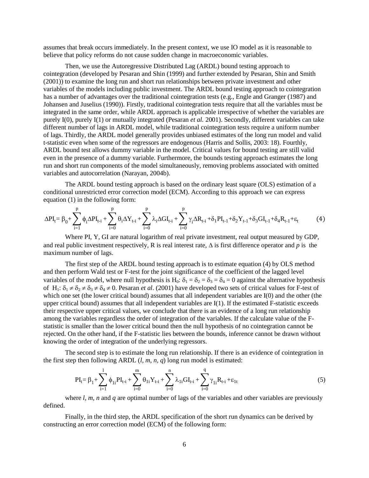assumes that break occurs immediately. In the present context, we use IO model as it is reasonable to believe that policy reforms do not cause sudden change in macroeconomic variables.

Then, we use the Autoregressive Distributed Lag (ARDL) bound testing approach to cointegration (developed by Pesaran and Shin (1999) and further extended by Pesaran, Shin and Smith (2001)) to examine the long run and short run relationships between private investment and other variables of the models including public investment. The ARDL bound testing approach to cointegration has a number of advantages over the traditional cointegration tests (e.g., Engle and Granger (1987) and Johansen and Juselius (1990)). Firstly, traditional cointegration tests require that all the variables must be integrated in the same order, while ARDL approach is applicable irrespective of whether the variables are purely I(0), purely I(1) or mutually integrated (Pesaran *et al.* 2001). Secondly, different variables can take different number of lags in ARDL model, while traditional cointegration tests require a uniform number of lags. Thirdly, the ARDL model generally provides unbiased estimates of the long run model and valid t-statistic even when some of the regressors are endogenous (Harris and Sollis, 2003: 18). Fourthly, ARDL bound test allows dummy variable in the model. Critical values for bound testing are still valid even in the presence of a dummy variable. Furthermore, the bounds testing approach estimates the long run and short run components of the model simultaneously, removing problems associated with omitted variables and autocorrelation (Narayan, 2004b).

The ARDL bound testing approach is based on the ordinary least square (OLS) estimation of a conditional unrestricted error correction model (ECM). According to this approach we can express equation (1) in the following form:

$$
\Delta PI_{t} = \beta_{0} + \sum_{i=1}^{p} \phi_{i} \Delta PI_{t-i} + \sum_{i=0}^{p} \theta_{i} \Delta Y_{t-i} + \sum_{i=0}^{p} \lambda_{i} \Delta GI_{t-i} + \sum_{i=0}^{p} \gamma_{i} \Delta R_{t-i} + \delta_{1} PI_{t-1} + \delta_{2} Y_{t-1} + \delta_{3} GI_{t-1} + \delta_{4} R_{t-1} + \epsilon_{t}
$$
(4)

Where PI, Y, GI are natural logarithm of real private investment, real output measured by GDP, and real public investment respectively, R is real interest rate,  $\Delta$  is first difference operator and *p* is the maximum number of lags.

The first step of the ARDL bound testing approach is to estimate equation (4) by OLS method and then perform Wald test or F-test for the joint significance of the coefficient of the lagged level variables of the model, where null hypothesis is H<sub>0</sub>:  $\delta_1 = \delta_2 = \delta_3 = \delta_4 = 0$  against the alternative hypothesis of H<sub>1</sub>:  $\delta_1 \neq \delta_2 \neq \delta_3 \neq \delta_4 \neq 0$ . Pesaran *et al.* (2001) have developed two sets of critical values for F-test of which one set (the lower critical bound) assumes that all independent variables are I(0) and the other (the upper critical bound) assumes that all independent variables are I(1). If the estimated F-statistic exceeds their respective upper critical values, we conclude that there is an evidence of a long run relationship among the variables regardless the order of integration of the variables. If the calculate value of the Fstatistic is smaller than the lower critical bound then the null hypothesis of no cointegration cannot be rejected. On the other hand, if the F-statistic lies between the bounds, inference cannot be drawn without knowing the order of integration of the underlying regressors.

The second step is to estimate the long run relationship. If there is an evidence of cointegration in the first step then following ARDL  $(l, m, n, q)$  long run model is estimated:

$$
PI_{t} = \beta_{1} + \sum_{i=1}^{l} \phi_{1i} PI_{t-i} + \sum_{i=0}^{m} \theta_{1i} Y_{t-i} + \sum_{i=0}^{n} \lambda_{1i} GI_{t-i} + \sum_{i=0}^{q} \gamma_{1i} R_{t-i} + \epsilon_{1t}
$$
(5)

where *l, m, n* and *q* are optimal number of lags of the variables and other variables are previously defined.

Finally, in the third step, the ARDL specification of the short run dynamics can be derived by constructing an error correction model (ECM) of the following form: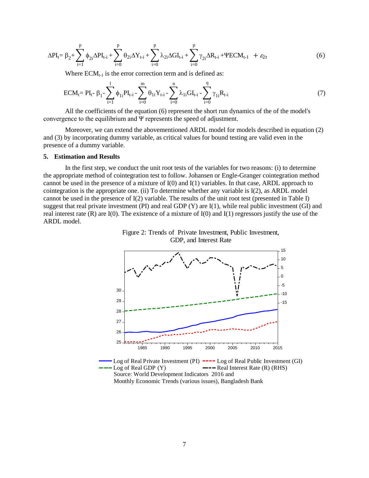$$
\Delta PI_{t} = \beta_{2} + \sum_{i=1}^{p} \phi_{2i} \Delta PI_{t-i} + \sum_{i=0}^{p} \theta_{2i} \Delta Y_{t-i} + \sum_{i=0}^{p} \lambda_{2i} \Delta GI_{t-i} + \sum_{i=0}^{p} \gamma_{2i} \Delta R_{t-i} + \Psi ECM_{t-1} + \varepsilon_{2t}
$$
(6)

Where  $ECM_{t-1}$  is the error correction term and is defined as:

$$
ECM_{t} = PI_{t} - \beta_{1} - \sum_{i=1}^{l} \phi_{1i} PI_{t-i} - \sum_{i=0}^{m} \theta_{1i} Y_{t-i} - \sum_{i=0}^{n} \lambda_{1i} GI_{t-i} - \sum_{i=0}^{q} \gamma_{1i} R_{t-i}
$$
(7)

All the coefficients of the equation (6) represent the short run dynamics of the of the model's convergence to the equilibrium and Ψ represents the speed of adjustment.

Moreover, we can extend the abovementioned ARDL model for models described in equation (2) and (3) by incorporating dummy variable, as critical values for bound testing are valid even in the presence of a dummy variable.

#### **5. Estimation and Results**

In the first step, we conduct the unit root tests of the variables for two reasons: (i) to determine the appropriate method of cointegration test to follow. Johansen or Engle-Granger cointegration method cannot be used in the presence of a mixture of I(0) and I(1) variables. In that case, ARDL approach to cointegration is the appropriate one. (ii) To determine whether any variable is I(2), as ARDL model cannot be used in the presence of I(2) variable. The results of the unit root test (presented in Table I) suggest that real private investment (PI) and real GDP (Y) are I(1), while real public investment (GI) and real interest rate  $(R)$  are I $(0)$ . The existence of a mixture of I $(0)$  and I $(1)$  regressors justify the use of the ARDL model.





Source: World Development Indicators 2016 and Monthly Economic Trends (various issues), Bangladesh Bank Log of Real Private Investment (PI)  $---$  Log of Real Public Investment (GI) Log of Real GDP  $(Y)$   $---$  Real Interest Rate  $(R)$  (RHS)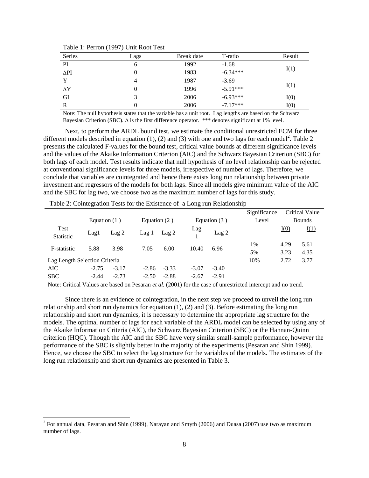| <b>Series</b> | Lags | Break date | T-ratio    | Result |
|---------------|------|------------|------------|--------|
| PI            | b    | 1992       | $-1.68$    |        |
| $\Delta$ PI   | 0    | 1983       | $-6.34***$ | I(1)   |
| v             | 4    | 1987       | $-3.69$    |        |
| $\Delta Y$    |      | 1996       | $-5.91***$ | I(1)   |
| GI            | 3    | 2006       | $-6.93***$ | I(0)   |
| R             |      | 2006       | $-7.17***$ | I(0)   |

Table 1: Perron (1997) Unit Root Test

Note: The null hypothesis states that the variable has a unit root. Lag lengths are based on the Schwarz Bayesian Criterion (SBC).  $\Delta$  is the first difference operator. \*\*\* denotes significant at 1% level.

Next, to perform the ARDL bound test, we estimate the conditional unrestricted ECM for three different models described in equation (1), (2) and (3) with one and two lags for each model<sup>2</sup>. Table 2 presents the calculated F-values for the bound test, critical value bounds at different significance levels and the values of the Akaike Information Criterion (AIC) and the Schwarz Bayesian Criterion (SBC) for both lags of each model. Test results indicate that null hypothesis of no level relationship can be rejected at conventional significance levels for three models, irrespective of number of lags. Therefore, we conclude that variables are cointegrated and hence there exists long run relationship between private investment and regressors of the models for both lags. Since all models give minimum value of the AIC and the SBC for lag two, we choose two as the maximum number of lags for this study.

|                               |         |                  |                |                |                |                  | Significance  |      | <b>Critical Value</b> |
|-------------------------------|---------|------------------|----------------|----------------|----------------|------------------|---------------|------|-----------------------|
| Equation $(1)$                |         |                  | Equation $(2)$ |                | Equation $(3)$ | Level            | <b>Bounds</b> |      |                       |
| Test<br>Statistic             | Lag1    | Lag <sub>2</sub> | Lag1           | $\text{Lag} 2$ | Lag            | Lag <sub>2</sub> |               | I(0) | I(1)                  |
| F-statistic                   | 5.88    | 3.98             | 7.05           | 6.00           | 10.40          | 6.96             | 1%            | 4.29 | 5.61                  |
|                               |         |                  |                |                |                |                  | 5%            | 3.23 | 4.35                  |
| Lag Length Selection Criteria |         |                  |                |                |                |                  | 10%           | 2.72 | 3.77                  |
| <b>AIC</b>                    | $-2.75$ | $-3.17$          | $-2.86$        | $-3.33$        | $-3.07$        | $-3.40$          |               |      |                       |
| <b>SBC</b>                    | $-2.44$ | $-2.73$          | $-2.50$        | $-2.88$        | $-2.67$        | $-2.91$          |               |      |                       |

Table 2: Cointegration Tests for the Existence of a Long run Relationship

Note: Critical Values are based on Pesaran *et al.* (2001) for the case of unrestricted intercept and no trend.

Since there is an evidence of cointegration, in the next step we proceed to unveil the long run relationship and short run dynamics for equation (1), (2) and (3). Before estimating the long run relationship and short run dynamics, it is necessary to determine the appropriate lag structure for the models. The optimal number of lags for each variable of the ARDL model can be selected by using any of the Akaike Information Criteria (AIC), the Schwarz Bayesian Criterion (SBC) or the Hannan-Quinn criterion (HQC). Though the AIC and the SBC have very similar small-sample performance, however the performance of the SBC is slightly better in the majority of the experiments (Pesaran and Shin 1999). Hence, we choose the SBC to select the lag structure for the variables of the models. The estimates of the long run relationship and short run dynamics are presented in Table 3.

<sup>&</sup>lt;sup>2</sup> For annual data, Pesaran and Shin (1999), Narayan and Smyth (2006) and Duasa (2007) use two as maximum number of lags.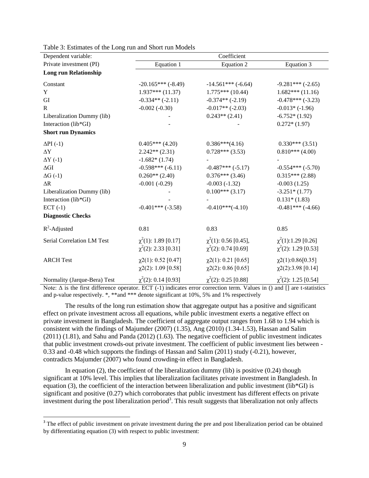| Dependent variable:          | Coefficient                                            |                                                         |                                                       |  |  |  |
|------------------------------|--------------------------------------------------------|---------------------------------------------------------|-------------------------------------------------------|--|--|--|
| Private investment (PI)      | Equation 1                                             | Equation 2                                              | Equation 3                                            |  |  |  |
| <b>Long run Relationship</b> |                                                        |                                                         |                                                       |  |  |  |
| Constant                     | $-20.165***(-8.49)$                                    | $-14.561***$ (-6.64)                                    | $-9.281***(-2.65)$                                    |  |  |  |
| Y                            | $1.937***(11.37)$                                      | $1.775***(10.44)$                                       | $1.682***(11.16)$                                     |  |  |  |
| GI                           | $-0.334**(-2.11)$                                      | $-0.374**(-2.19)$                                       | $-0.478***(-3.23)$                                    |  |  |  |
| $\mathbf{R}$                 | $-0.002(-0.30)$                                        | $-0.017**(-2.03)$                                       | $-0.013*(-1.96)$                                      |  |  |  |
| Liberalization Dummy (lib)   |                                                        | $0.243**$ (2.41)                                        | $-6.752*(1.92)$                                       |  |  |  |
| Interaction (lib*GI)         |                                                        |                                                         | $0.272*(1.97)$                                        |  |  |  |
| <b>Short run Dynamics</b>    |                                                        |                                                         |                                                       |  |  |  |
| $\Delta$ PI $(-1)$           | $0.405***$ (4.20)                                      | $0.386***(4.16)$                                        | $0.330***(3.51)$                                      |  |  |  |
| $\Delta Y$                   | $2.242**$ (2.31)                                       | $0.728***(3.53)$                                        | $0.810***$ (4.00)                                     |  |  |  |
| $\Delta Y$ (-1)              | $-1.682*(1.74)$                                        |                                                         |                                                       |  |  |  |
| $\Delta \text{GI}$           | $-0.598***(-6.11)$                                     | $-0.487***(-5.17)$                                      | $-0.554***(-5.70)$                                    |  |  |  |
| $\Delta G$ (-1)              | $0.260**$ (2.40)                                       | $0.376***(3.46)$                                        | $0.315***(2.88)$                                      |  |  |  |
| $\Delta R$                   | $-0.001(-0.29)$                                        | $-0.003(-1.32)$                                         | $-0.003(1.25)$                                        |  |  |  |
| Liberalization Dummy (lib)   |                                                        | $0.100***(3.17)$                                        | $-3.251*(1.77)$                                       |  |  |  |
| Interaction (lib*GI)         |                                                        |                                                         | $0.131*(1.83)$                                        |  |  |  |
| $ECT (-1)$                   | $-0.401***(-3.58)$                                     | $-0.410***(-4.10)$                                      | $-0.481***$ (-4.66)                                   |  |  |  |
| <b>Diagnostic Checks</b>     |                                                        |                                                         |                                                       |  |  |  |
| $R^2$ -Adjusted              | 0.81                                                   | 0.83                                                    | 0.85                                                  |  |  |  |
| Serial Correlation LM Test   | $\chi^2(1)$ : 1.89 [0.17]<br>$\chi^2(2)$ : 2.33 [0.31] | $\chi^2(1)$ : 0.56 [0.45],<br>$\chi^2(2)$ : 0.74 [0.69] | $\chi^2(1)$ :1.29 [0.26]<br>$\chi^2(2)$ : 1.29 [0.53] |  |  |  |
| <b>ARCH Test</b>             | $\chi$ 2(1): 0.52 [0.47]<br>$\chi$ 2(2): 1.09 [0.58]   | $\chi$ 2(1): 0.21 [0.65]<br>$\chi$ 2(2): 0.86 [0.65]    | $\chi$ 2(1):0.86[0.35]<br>$\chi$ 2(2):3.98 [0.14]     |  |  |  |
| Normality (Jarque-Bera) Test | $\chi^2(2)$ : 0.14 [0.93]                              | $\chi^2(2)$ : 0.25 [0.88]                               | $\chi^2(2)$ : 1.25 [0.54]                             |  |  |  |

Table 3: Estimates of the Long run and Short run Models

Note:  $Δ$  is the first difference operator. ECT (-1) indicates error correction term. Values in () and [] are t-statistics and p-value respectively. \*, \*\*and \*\*\* denote significant at 10%, 5% and 1% respectively

The results of the long run estimation show that aggregate output has a positive and significant effect on private investment across all equations, while public investment exerts a negative effect on private investment in Bangladesh. The coefficient of aggregate output ranges from 1.68 to 1.94 which is consistent with the findings of Majumder (2007) (1.35), Ang (2010) (1.34-1.53), Hassan and Salim (2011) (1.81), and Sahu and Panda (2012) (1.63). The negative coefficient of public investment indicates that public investment crowds-out private investment. The coefficient of public investment lies between - 0.33 and -0.48 which supports the findings of Hassan and Salim (2011) study (-0.21), however, contradicts Majumder (2007) who found crowding-in effect in Bangladesh.

In equation  $(2)$ , the coefficient of the liberalization dummy  $(lib)$  is positive  $(0.24)$  though significant at 10% level. This implies that liberalization facilitates private investment in Bangladesh. In equation (3), the coefficient of the interaction between liberalization and public investment (lib\*GI) is significant and positive (0.27) which corroborates that public investment has different effects on private investment during the post liberalization period<sup>3</sup>. This result suggests that liberalization not only affects

<sup>&</sup>lt;sup>3</sup> The effect of public investment on private investment during the pre and post liberalization period can be obtained by differentiating equation (3) with respect to public investment: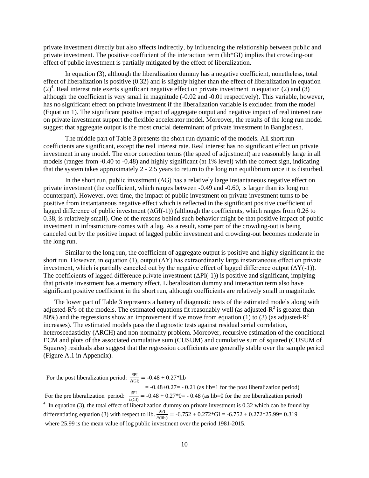private investment directly but also affects indirectly, by influencing the relationship between public and private investment. The positive coefficient of the interaction term (lib\*GI) implies that crowding-out effect of public investment is partially mitigated by the effect of liberalization.

In equation (3), although the liberalization dummy has a negative coefficient, nonetheless, total effect of liberalization is positive (0.32) and is slightly higher than the effect of liberalization in equation  $(2)^4$ . Real interest rate exerts significant negative effect on private investment in equation (2) and (3) although the coefficient is very small in magnitude (-0.02 and -0.01 respectively). This variable, however, has no significant effect on private investment if the liberalization variable is excluded from the model (Equation 1). The significant positive impact of aggregate output and negative impact of real interest rate on private investment support the flexible accelerator model. Moreover, the results of the long run model suggest that aggregate output is the most crucial determinant of private investment in Bangladesh.

The middle part of Table 3 presents the short run dynamic of the models. All short run coefficients are significant, except the real interest rate. Real interest has no significant effect on private investment in any model. The error correction terms (the speed of adjustment) are reasonably large in all models (ranges from -0.40 to -0.48) and highly significant (at 1% level) with the correct sign, indicating that the system takes approximately 2 - 2.5 years to return to the long run equilibrium once it is disturbed.

In the short run, public investment  $( \Delta G)$  has a relatively large instantaneous negative effect on private investment (the coefficient, which ranges between -0.49 and -0.60, is larger than its long run counterpart). However, over time, the impact of public investment on private investment turns to be positive from instantaneous negative effect which is reflected in the significant positive coefficient of lagged difference of public investment  $(\Delta GI(-1))$  (although the coefficients, which ranges from 0.26 to 0.38, is relatively small). One of the reasons behind such behavior might be that positive impact of public investment in infrastructure comes with a lag. As a result, some part of the crowding-out is being canceled out by the positive impact of lagged public investment and crowding-out becomes moderate in the long run.

Similar to the long run, the coefficient of aggregate output is positive and highly significant in the short run. However, in equation (1), output  $(\Delta Y)$  has extraordinarily large instantaneous effect on private investment, which is partially canceled out by the negative effect of lagged difference output  $(\Delta Y(-1))$ . The coefficients of lagged difference private investment  $(\Delta PI(-1))$  is positive and significant, implying that private investment has a memory effect. Liberalization dummy and interaction term also have significant positive coefficient in the short run, although coefficients are relatively small in magnitude.

The lower part of Table 3 represents a battery of diagnostic tests of the estimated models along with adjusted- $R^2$ s of the models. The estimated equations fit reasonably well (as adjusted- $R^2$  is greater than 80%) and the regressions show an improvement if we move from equation (1) to (3) (as adjusted- $R^2$ increases). The estimated models pass the diagnostic tests against residual serial correlation, heteroscedasticity (ARCH) and non-normality problem. Moreover, recursive estimation of the conditional ECM and plots of the associated cumulative sum (CUSUM) and cumulative sum of squared (CUSUM of Squares) residuals also suggest that the regression coefficients are generally stable over the sample period (Figure A.1 in Appendix).

For the post liberalization period:  $\frac{\partial P}{\partial \Omega}$  $\frac{\partial H}{\partial \hat{G}(G)} = -0.48 + 0.27*$ lib

 $\overline{\phantom{a}}$ 

 $= -0.48 + 0.27 = -0.21$  (as lib=1 for the post liberalization period) For the pre liberalization period:  $\frac{\partial PI}{\partial (GI)} = -0.48 + 0.27^*0 = -0.48$  (as lib=0 for the pre liberalization period)  $4\,$  In equation (3), the total effect of liberalization dummy on private investment is 0.32 which can be found by differentiating equation (3) with respect to lib.  $\frac{\partial PI}{\partial (lib)} = -6.752 + 0.272 * GI = -6.752 + 0.272 * 25.99 = 0.319$ where 25.99 is the mean value of log public investment over the period 1981-2015.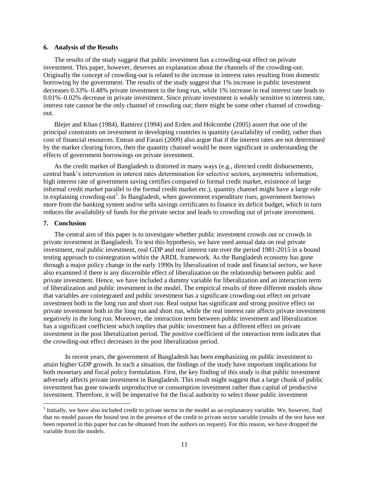#### **6. Analysis of the Results**

The results of the study suggest that public investment has a crowding-out effect on private investment. This paper, however, deserves an explanation about the channels of the crowding-out. Originally the concept of crowding-out is related to the increase in interest rates resulting from domestic borrowing by the government. The results of the study suggest that 1% increase in public investment decreases 0.33%–0.48% private investment in the long run, while 1% increase in real interest rate leads to 0.01%–0.02% decrease in private investment. Since private investment is weakly sensitive to interest rate, interest rate cannot be the only channel of crowding out; there might be some other channel of crowdingout.

Blejer and Khan (1984), Ramirez (1994) and Erden and Holcombe (2005) assert that one of the principal constraints on investment in developing countries is quantity (availability of credit), rather than cost of financial resources. Emran and Farazi (2009) also argue that if the interest rates are not determined by the market clearing forces, then the quantity channel would be more significant in understanding the effects of government borrowings on private investment.

As the credit market of Bangladesh is distorted in many ways (e.g., directed credit disbursements, central bank's intervention in interest rates determination for selective sectors, asymmetric information, high interest rate of government saving certifies compared to formal credit market, existence of large informal credit market parallel to the formal credit market etc.), quantity channel might have a large role in explaining crowding-out<sup>5</sup>. In Bangladesh, when government expenditure rises, government borrows more from the banking system and/or sells savings certificates to finance its deficit budget, which in turn reduces the availability of funds for the private sector and leads to crowding out of private investment.

#### **7. Conclusion**

 $\overline{\phantom{a}}$ 

The central aim of this paper is to investigate whether public investment crowds out or crowds in private investment in Bangladesh. To test this hypothesis, we have used annual data on real private investment, real public investment, real GDP and real interest rate over the period 1981-2015 in a bound testing approach to cointegration within the ARDL framework. As the Bangladesh economy has gone through a major policy change in the early 1990s by liberalization of trade and financial sectors, we have also examined if there is any discernible effect of liberalization on the relationship between public and private investment. Hence, we have included a dummy variable for liberalization and an interaction term of liberalization and public investment in the model. The empirical results of three different models show that variables are cointegrated and public investment has a significant crowding-out effect on private investment both in the long run and short run. Real output has significant and strong positive effect on private investment both in the long run and short run, while the real interest rate affects private investment negatively in the long run. Moreover, the interaction term between public investment and liberalization has a significant coefficient which implies that public investment has a different effect on private investment in the post liberalization period. The positive coefficient of the interaction term indicates that the crowding-out effect decreases in the post liberalization period.

In recent years, the government of Bangladesh has been emphasizing on public investment to attain higher GDP growth. In such a situation, the findings of the study have important implications for both monetary and fiscal policy formulation. First, the key finding of this study is that public investment adversely affects private investment in Bangladesh. This result might suggest that a large chunk of public investment has gone towards unproductive or consumption investment rather than capital of productive investment. Therefore, it will be imperative for the fiscal authority to select those public investment

 $<sup>5</sup>$  Initially, we have also included credit to private sector in the model as an explanatory variable. We, however, find</sup> that no model passes the bound test in the presence of the credit to private sector variable (results of the test have not been reported in this paper but can be obtained from the authors on request). For this reason, we have dropped the variable from the models.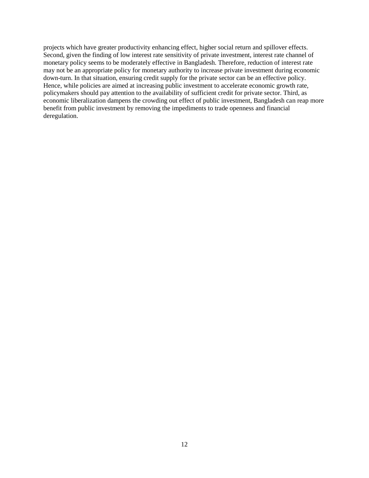projects which have greater productivity enhancing effect, higher social return and spillover effects. Second, given the finding of low interest rate sensitivity of private investment, interest rate channel of monetary policy seems to be moderately effective in Bangladesh. Therefore, reduction of interest rate may not be an appropriate policy for monetary authority to increase private investment during economic down-turn. In that situation, ensuring credit supply for the private sector can be an effective policy. Hence, while policies are aimed at increasing public investment to accelerate economic growth rate, policymakers should pay attention to the availability of sufficient credit for private sector. Third, as economic liberalization dampens the crowding out effect of public investment, Bangladesh can reap more benefit from public investment by removing the impediments to trade openness and financial deregulation.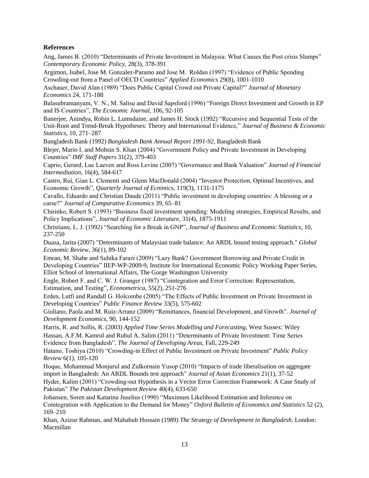#### **References**

Ang, James B. (2010) "Determinants of Private Investment in Malaysia: What Causes the Post crisis Slumps" *Contemporary Economic Policy,* 28(3), 378-391

Argimon, Isabel, Jose M. Gonzalez-Paramo and Jose M. Roldan (1997) "Evidence of Public Spending Crowding-out from a Panel of OECD Countries" *Applied Economics* 29(8), 1001-1010

Aschauer, David Alan (1989) "Does Public Capital Crowd out Private Capital?" *Journal of Monetary Economics* 24, 171-188

Balasubramanyam, V. N., M. Salisu and David Sapsford (1996) "Foreign Direct Investment and Growth in EP and IS Countries", *The Economic Journal*, 106, 92-105

Banerjee, Anindya, Robin L. Lumsdaine, and James H. Stock (1992) "Recursive and Sequential Tests of the Unit-Root and Trend-Break Hypotheses: Theory and International Evidence," *Journal of Business & Economic Statistics*, 10, 271–287

Bangladesh Bank (1992) *Bangladesh Bank Annual Report 1991-92*, Bangladesh Bank

Blejer, Mario I. and Mohsin S. Khan (2004) "Government Policy and Private Investment in Developing Countries" *IMF Staff Papers* 31(2), 379-403

Caprio, Gerard, Luc Laeven and Ross Levine (2007) "Governance and Bank Valuation" *Journal of Financial Intermediation*, 16(4), 584-617

Castro, Rui, Gian L. Clementi and Glenn MacDonald (2004) "Investor Protection, Optimal Incentives, and Economic Growth", *Quarterly Journal of Ecnimics*, 119(3), 1131-1175

Cavallo, Eduardo and Christian Daude (2011) "Public investment in developing countries: A blessing or a curse?" *Journal of Comparative Economics* 39, 65–81

Chirinko, Robert S. (1993) "Business fixed investment spending: Modeling strategies, Empirical Results, and Policy Implications", *Journal of Economic Literature*, 31(4), 1875-1911

Christiano, L. J. (1992) "Searching for a Break in GNP", *Journal of Business and Economic Statistics,* 10, 237-250

Duasa, Jarita (2007) "Determinants of Malaysian trade balance: An ARDL bound testing approach." *Global Economic Review,* 36(1), 89-102

Emran, M. Shahe and Subika Farazi (2009) "Lazy Bank? Government Borrowing and Private Credit in Developing Countries" IIEP-WP-2009-9, Institute for International Economic Policy Working Paper Series, Elliot School of International Affairs, The Gorge Washington University

Engle, Robert F. and C. W. J. Granger (1987) "Cointegration and Error Correction: Representation, Estimation, and Testing", *Econometrica*, 55(2), 251-276

Erden, Lutfi and Randall G. Holcombe (2005) "The Effects of Public Investment on Private Investment in Developing Countries" *Public Finance Review* 33(5), 575-602

Giuliano, Paola and M. Ruiz-Arranz (2009) "Remittances, financial Development, and Growth". *Journal of Development Economics*, 90, 144-152

Harris, R. and Sollis, R. (2003) *Applied Time Series Modelling and Forecasting*, West Sussex: Wiley Hassan, A.F.M. Kamrul and Ruhul A. Salim (2011) "Determinants of Private Investment: Time Series Evidence from Bangladesh", *The Journal of Developing Areas,* Fall, 229-249

Hatano, Toshiya (2010) "Crowding-in Effect of Public Investment on Private Investment" *Public Policy Review* 6(1), 105-120

Hoque, Mohammad Monjurul and Zulkornain Yusop (2010) ["Impacts of trade liberalisation on aggregate](https://ideas.repec.org/a/eee/asieco/v21y2010i1p37-52.html)  [import in Bangladesh: An ARDL Bounds test approach"](https://ideas.repec.org/a/eee/asieco/v21y2010i1p37-52.html) *[Journal of Asian Economics](https://ideas.repec.org/s/eee/asieco.html)* 21(1), 37-52

Hyder, Kalim (2001) "Crowding-out Hypothesis in a Vector Error Correction Framework: A Case Study of Pakistan" *The Pakistan Development Review* 40(4), 633-650

Johansen, Soren and Katarina Juselius (1990) "Maximum Likelihood Estimation and Inference on Cointegration with Application to the Demand for Money" *Oxford Bulletin of Economics and Statistics* 52 (2), 169–210

Khan, Azizur Rahman, and Mahabub Hossain (1989) *The Strategy of Development in Bangladesh.* London: Macmillan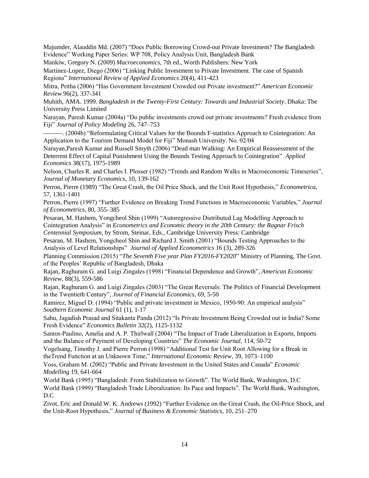Majumder, Alauddin Md. (2007) "Does Public Borrowing Crowd-out Private Investment? The Bangladesh Evidence" Working Paper Series: WP 708, Policy Analysis Unit, Bangladesh Bank

Mankiw, Gregory N. (2009) *Macroeconomics,* 7th ed., Worth Publishers: New York

Martinez-Lopez, Diego (2006) "Linking Public Investment to Private Investment. The case of Spanish Regions" *International Review of Applied Economics* 20(4), 411-423

Mitra, Pritha (2006) "Has Government Investment Crowded out Private investment?" *American Economic Review* 96(2), 337-341

Muhith, AMA. 1999. *Bangladesh in the Twenty-First Century: Towards and Industrial Society*. Dhaka: The University Press Limited

Narayan, Paresh Kumar (2004a) "Do public investments crowd out private investments? Fresh evidence from Fiji" *Journal of Policy Modeling* 26, 747–753

. (2004b) "Reformulating Critical Values for the Bounds F-statistics Approach to Cointegration: An Application to the Tourism Demand Model for Fiji" Monash University. No. 02/04

Narayan,Paresh Kumar and Russell Smyth (2006) ["Dead man Walking: An Empirical Reassessment of the](https://ideas.repec.org/a/taf/applec/v38y2006i17p1975-1989.html)  [Deterrent Effect of Capital Punishment Using the Bounds Testing Approach to Cointegration"](https://ideas.repec.org/a/taf/applec/v38y2006i17p1975-1989.html) *[Applied](https://ideas.repec.org/s/taf/applec.html)  [Economics](https://ideas.repec.org/s/taf/applec.html)* 38(17), 1975-1989

Nelson, Charles R. and Charles I. Plosser (1982) "Trends and Random Walks in Macroeconomic Timeseries", *Journal of Monetary Economics*, 10, 139-162

Perron, Pierre (1989) "The Great Crash, the Oil Price Shock, and the Unit Root Hypothesis," *Econometrica*, 57, 1361-1401

Perron, Pierre (1997) "Further Evidence on Breaking Trend Functions in Macroeconomic Variables," *Journal of Econometrics*, 80, 355–385

Pesaran, M. Hashem, Yongcheol Shin (1999) "Autoregressive Distributed Lag Modelling Approach to Cointegration Analysis" in *Econometrics and Economic theory in the 20th Century: the Ragnar Frisch Centennial Symposium*, by Strom, Steinar, Eds., Cambridge University Press: Cambridge

Pesaran, M. Hashem, Yongcheol Shin and Richard J. Smith (2001) "Bounds Testing Approaches to the Analysis of Level Relationships" *Journal of Applied Econometrics* 16 (3), 289-326

Planning Commission (2015) "*The Seventh Five year Plan FY2016-FY2020*" Ministry of Planning, The Govt. of the Peoples' Republic of Bangladesh, Dhaka

Rajan, Raghuram G. and Luigi Zingales (1998) "Financial Dependence and Growth", *American Economic Review*, 88(3), 559-586

Rajan, Raghuram G. and Luigi Zingales (2003) "The Great Reversals: The Politics of Financial Development in the Twentieth Century", *Journal of Financial Economics*, 69, 5-50

Ramirez, Miguel D. (1994) "Public and private investment in Mexico, 1950-90: An empirical analysis" *Southern Economic Journal* 61 (1), 1-17

Sahu, Jagadish Prasad and Sitakanta Panda (2012) "Is Private Investment Being Crowded out in India? Some Fresh Evidence" *Economics Bulletin* 32(2), 1125-1132

Santos-Paulino, Amelia and A. P. Thirlwall (2004) "The Impact of Trade Liberalization in Exports, Imports and the Balance of Payment of Developing Countries" *The Economic Journal*, 114, 50-72

Vogelsang, Timothy J. and Pierre Perron (1998) "Additional Test for Unit Root Allowing for a Break in theTrend Function at an Unknown Time," *International Economic Review*, 39, 1073–1100

Voss, Graham M. (2002) "Public and Private Investment in the United States and Canada" *Economic Modelling* 19, 641-664

World Bank (1995) "Bangladesh: From Stabilization to Growth". The World Bank, Washington, D.C World Bank (1999) "Bangladesh Trade Liberalization: Its Pace and Impacts". The World Bank, Washington, D.C

Zivot, Eric and Donald W. K. Andrews (1992) "Further Evidence on the Great Crash, the Oil-Price Shock, and the Unit-Root Hypothesis," *Journal of Business & Economic Statistics*, 10, 251–270